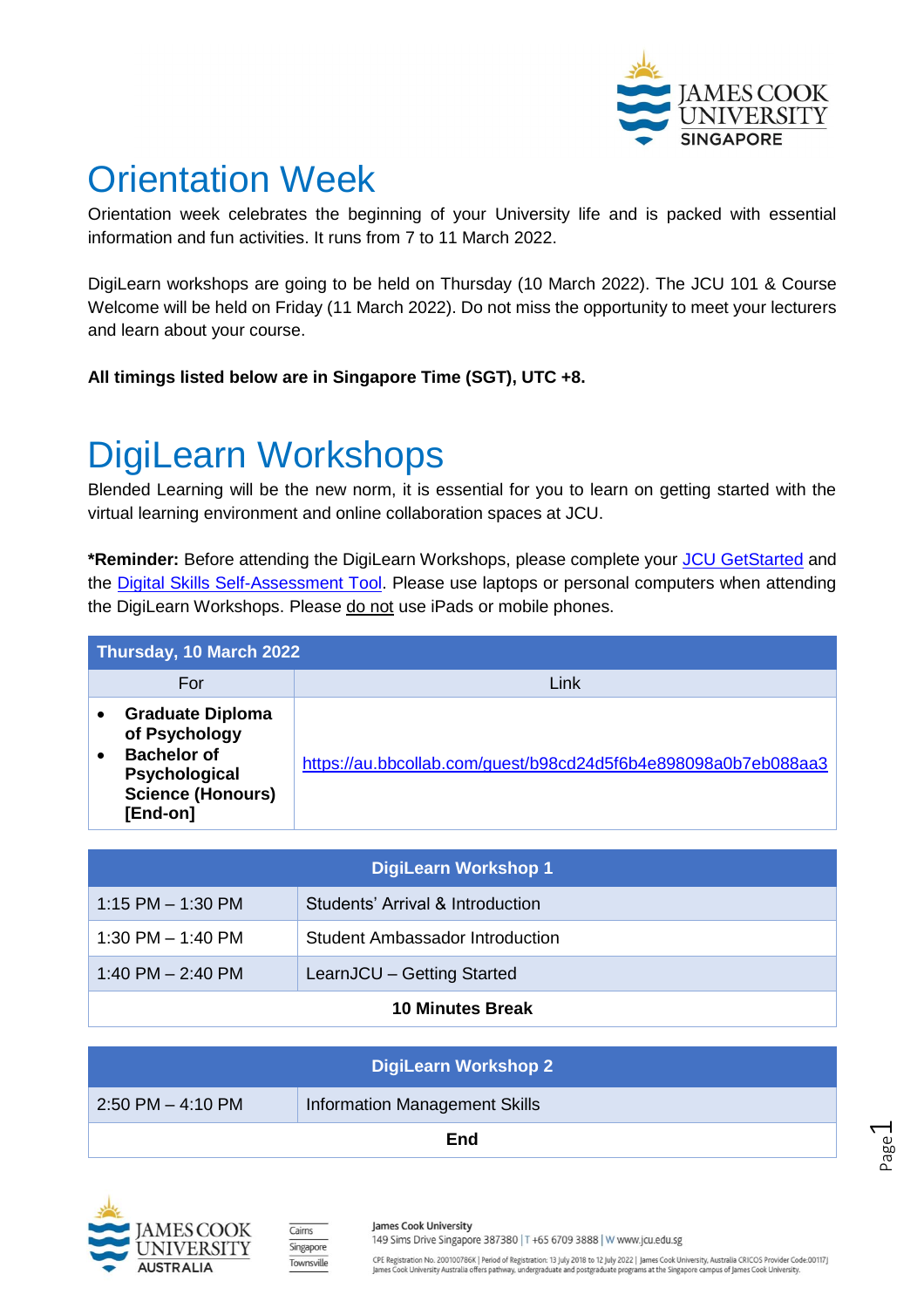

# Orientation Week

Orientation week celebrates the beginning of your University life and is packed with essential information and fun activities. It runs from 7 to 11 March 2022.

DigiLearn workshops are going to be held on Thursday (10 March 2022). The JCU 101 & Course Welcome will be held on Friday (11 March 2022). Do not miss the opportunity to meet your lecturers and learn about your course.

**All timings listed below are in Singapore Time (SGT), UTC +8.**

# DigiLearn Workshops

Blended Learning will be the new norm, it is essential for you to learn on getting started with the virtual learning environment and online collaboration spaces at JCU.

**\*Reminder:** Before attending the DigiLearn Workshops, please complete your [JCU GetStarted](https://jcu.connexus.online/get-started) and the **Digital Skills Self-Assessment Tool**. Please use laptops or personal computers when attending the DigiLearn Workshops. Please do not use iPads or mobile phones.

| Thursday, 10 March 2022 |                                                                                                                         |                                                                |  |
|-------------------------|-------------------------------------------------------------------------------------------------------------------------|----------------------------------------------------------------|--|
|                         | For                                                                                                                     | Link                                                           |  |
|                         | <b>Graduate Diploma</b><br>of Psychology<br><b>Bachelor of</b><br>Psychological<br><b>Science (Honours)</b><br>[End-on] | https://au.bbcollab.com/guest/b98cd24d5f6b4e898098a0b7eb088aa3 |  |

| DigiLearn Workshop 1    |                                  |  |
|-------------------------|----------------------------------|--|
| $1:15$ PM $- 1:30$ PM   | Students' Arrival & Introduction |  |
| 1:30 PM $-$ 1:40 PM     | Student Ambassador Introduction  |  |
| 1:40 PM $-$ 2:40 PM     | LearnJCU - Getting Started       |  |
| <b>10 Minutes Break</b> |                                  |  |

| DigiLearn Workshop 2  |                                      |  |  |  |
|-----------------------|--------------------------------------|--|--|--|
| $2:50$ PM $-$ 4:10 PM | <b>Information Management Skills</b> |  |  |  |
| End                   |                                      |  |  |  |







James Cook University

149 Sims Drive Singapore 387380 | T +65 6709 3888 | W www.jcu.edu.sg

CPE Registration No. 200100786K | Period of Registration: 13 July 2018 to 12 July 2022 | James Cook University, Australia CRICOS Provider Code:00117]<br>James Cook University Australia offers pathway, undergraduate and postgr